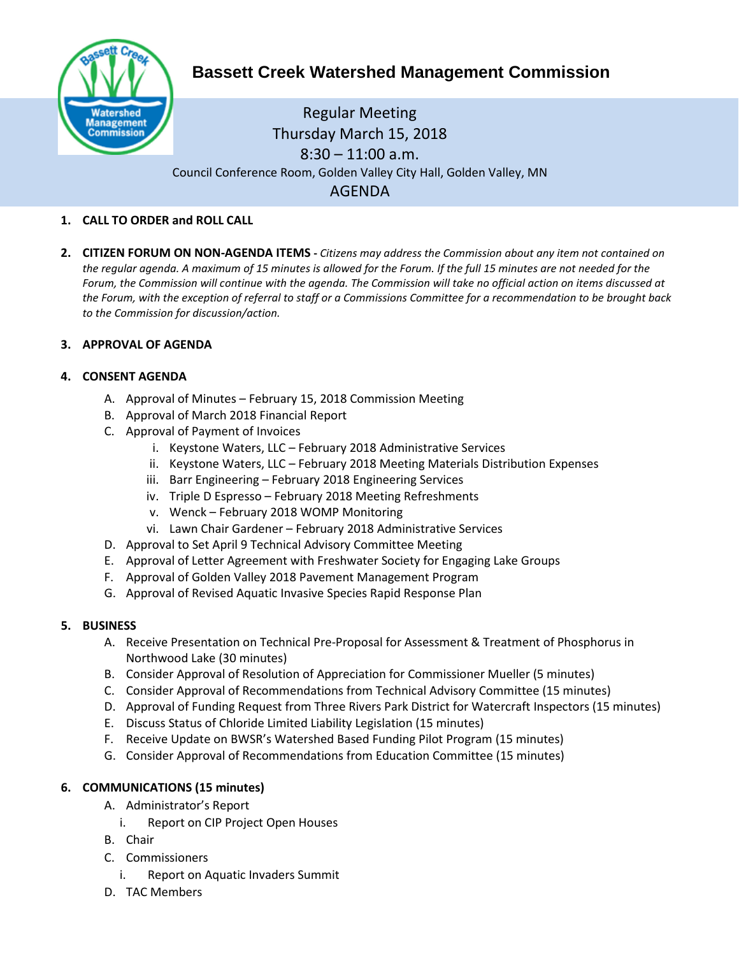

# **Bassett Creek Watershed Management Commission**

# Regular Meeting Thursday March 15, 2018  $8:30 - 11:00$  a.m. Council Conference Room, Golden Valley City Hall, Golden Valley, MN AGENDA

### **1. CALL TO ORDER and ROLL CALL**

**2. CITIZEN FORUM ON NON-AGENDA ITEMS -** *Citizens may address the Commission about any item not contained on the regular agenda. A maximum of 15 minutes is allowed for the Forum. If the full 15 minutes are not needed for the Forum, the Commission will continue with the agenda. The Commission will take no official action on items discussed at the Forum, with the exception of referral to staff or a Commissions Committee for a recommendation to be brought back to the Commission for discussion/action.*

#### **3. APPROVAL OF AGENDA**

## **4. CONSENT AGENDA**

- A. Approval of Minutes February 15, 2018 Commission Meeting
- B. Approval of March 2018 Financial Report
- C. Approval of Payment of Invoices
	- i. Keystone Waters, LLC February 2018 Administrative Services
	- ii. Keystone Waters, LLC February 2018 Meeting Materials Distribution Expenses
	- iii. Barr Engineering February 2018 Engineering Services
	- iv. Triple D Espresso February 2018 Meeting Refreshments
	- v. Wenck February 2018 WOMP Monitoring
	- vi. Lawn Chair Gardener February 2018 Administrative Services
- D. Approval to Set April 9 Technical Advisory Committee Meeting
- E. Approval of Letter Agreement with Freshwater Society for Engaging Lake Groups
- F. Approval of Golden Valley 2018 Pavement Management Program
- G. Approval of Revised Aquatic Invasive Species Rapid Response Plan

#### **5. BUSINESS**

- A. Receive Presentation on Technical Pre-Proposal for Assessment & Treatment of Phosphorus in Northwood Lake (30 minutes)
- B. Consider Approval of Resolution of Appreciation for Commissioner Mueller (5 minutes)
- C. Consider Approval of Recommendations from Technical Advisory Committee (15 minutes)
- D. Approval of Funding Request from Three Rivers Park District for Watercraft Inspectors (15 minutes)
- E. Discuss Status of Chloride Limited Liability Legislation (15 minutes)
- F. Receive Update on BWSR's Watershed Based Funding Pilot Program (15 minutes)
- G. Consider Approval of Recommendations from Education Committee (15 minutes)

# **6. COMMUNICATIONS (15 minutes)**

- A. Administrator's Report
	- i. Report on CIP Project Open Houses
- B. Chair
- C. Commissioners
	- i. Report on Aquatic Invaders Summit
- D. TAC Members